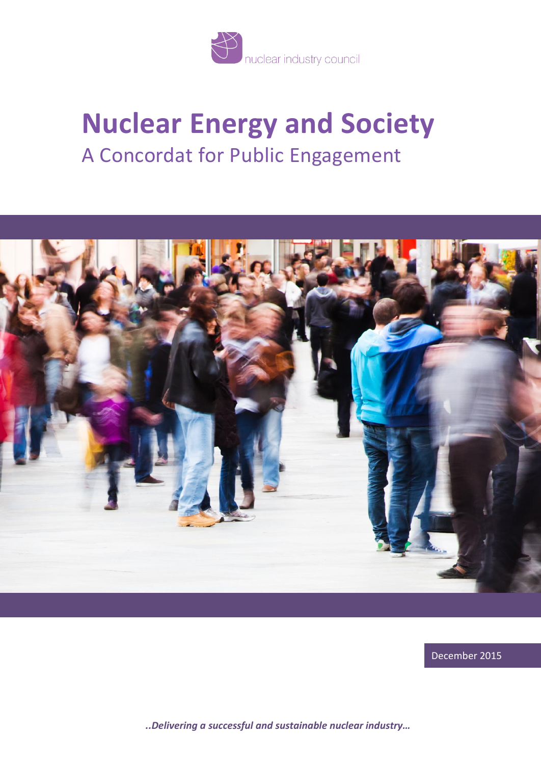

# **Nuclear Energy and Society** A Concordat for Public Engagement



December 2015

*..Delivering a successful and sustainable nuclear industry…*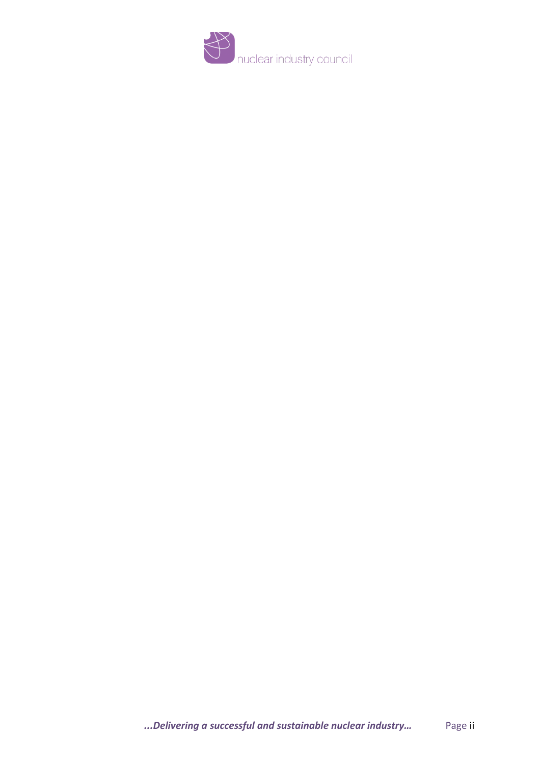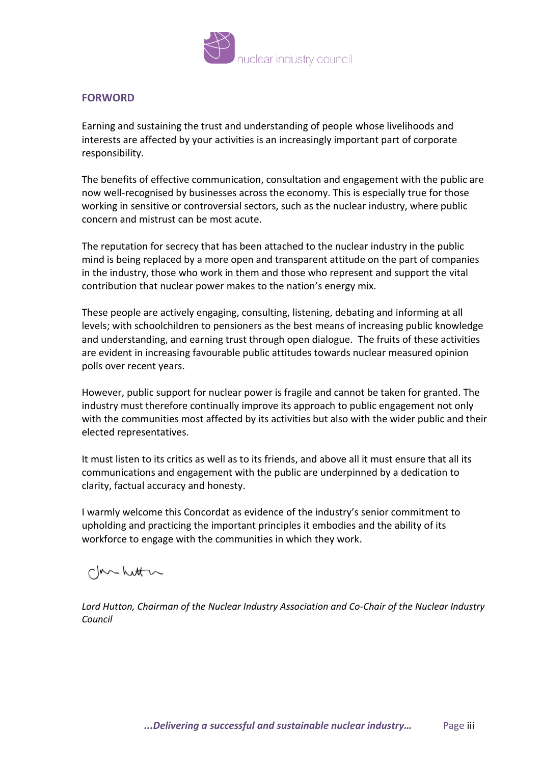

#### **FORWORD**

Earning and sustaining the trust and understanding of people whose livelihoods and interests are affected by your activities is an increasingly important part of corporate responsibility.

The benefits of effective communication, consultation and engagement with the public are now well-recognised by businesses across the economy. This is especially true for those working in sensitive or controversial sectors, such as the nuclear industry, where public concern and mistrust can be most acute.

The reputation for secrecy that has been attached to the nuclear industry in the public mind is being replaced by a more open and transparent attitude on the part of companies in the industry, those who work in them and those who represent and support the vital contribution that nuclear power makes to the nation's energy mix.

These people are actively engaging, consulting, listening, debating and informing at all levels; with schoolchildren to pensioners as the best means of increasing public knowledge and understanding, and earning trust through open dialogue. The fruits of these activities are evident in increasing favourable public attitudes towards nuclear measured opinion polls over recent years.

However, public support for nuclear power is fragile and cannot be taken for granted. The industry must therefore continually improve its approach to public engagement not only with the communities most affected by its activities but also with the wider public and their elected representatives.

It must listen to its critics as well as to its friends, and above all it must ensure that all its communications and engagement with the public are underpinned by a dedication to clarity, factual accuracy and honesty.

I warmly welcome this Concordat as evidence of the industry's senior commitment to upholding and practicing the important principles it embodies and the ability of its workforce to engage with the communities in which they work.

Chrhitten

*Lord Hutton, Chairman of the Nuclear Industry Association and Co-Chair of the Nuclear Industry Council*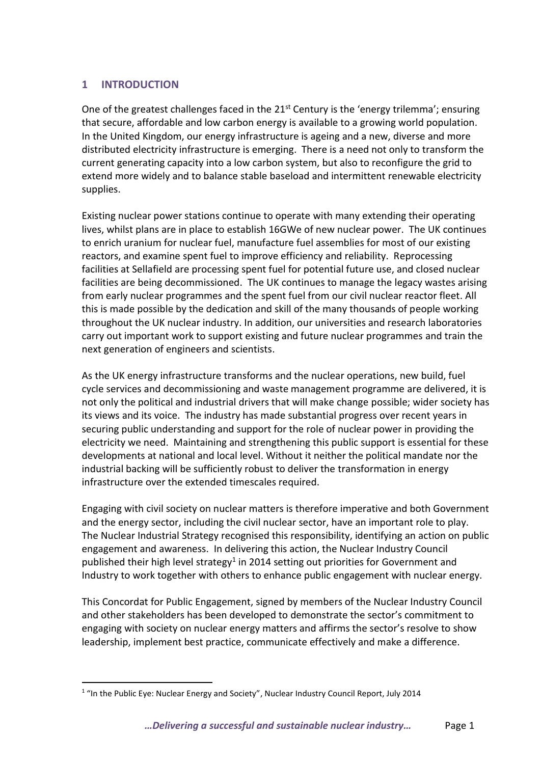## **1 INTRODUCTION**

 $\overline{a}$ 

One of the greatest challenges faced in the  $21<sup>st</sup>$  Century is the 'energy trilemma'; ensuring that secure, affordable and low carbon energy is available to a growing world population. In the United Kingdom, our energy infrastructure is ageing and a new, diverse and more distributed electricity infrastructure is emerging. There is a need not only to transform the current generating capacity into a low carbon system, but also to reconfigure the grid to extend more widely and to balance stable baseload and intermittent renewable electricity supplies.

Existing nuclear power stations continue to operate with many extending their operating lives, whilst plans are in place to establish 16GWe of new nuclear power. The UK continues to enrich uranium for nuclear fuel, manufacture fuel assemblies for most of our existing reactors, and examine spent fuel to improve efficiency and reliability. Reprocessing facilities at Sellafield are processing spent fuel for potential future use, and closed nuclear facilities are being decommissioned. The UK continues to manage the legacy wastes arising from early nuclear programmes and the spent fuel from our civil nuclear reactor fleet. All this is made possible by the dedication and skill of the many thousands of people working throughout the UK nuclear industry. In addition, our universities and research laboratories carry out important work to support existing and future nuclear programmes and train the next generation of engineers and scientists.

As the UK energy infrastructure transforms and the nuclear operations, new build, fuel cycle services and decommissioning and waste management programme are delivered, it is not only the political and industrial drivers that will make change possible; wider society has its views and its voice. The industry has made substantial progress over recent years in securing public understanding and support for the role of nuclear power in providing the electricity we need. Maintaining and strengthening this public support is essential for these developments at national and local level. Without it neither the political mandate nor the industrial backing will be sufficiently robust to deliver the transformation in energy infrastructure over the extended timescales required.

Engaging with civil society on nuclear matters is therefore imperative and both Government and the energy sector, including the civil nuclear sector, have an important role to play. The Nuclear Industrial Strategy recognised this responsibility, identifying an action on public engagement and awareness. In delivering this action, the Nuclear Industry Council published their high level strategy<sup>1</sup> in 2014 setting out priorities for Government and Industry to work together with others to enhance public engagement with nuclear energy.

This Concordat for Public Engagement, signed by members of the Nuclear Industry Council and other stakeholders has been developed to demonstrate the sector's commitment to engaging with society on nuclear energy matters and affirms the sector's resolve to show leadership, implement best practice, communicate effectively and make a difference.

<sup>&</sup>lt;sup>1</sup> "In the Public Eye: Nuclear Energy and Society", Nuclear Industry Council Report, July 2014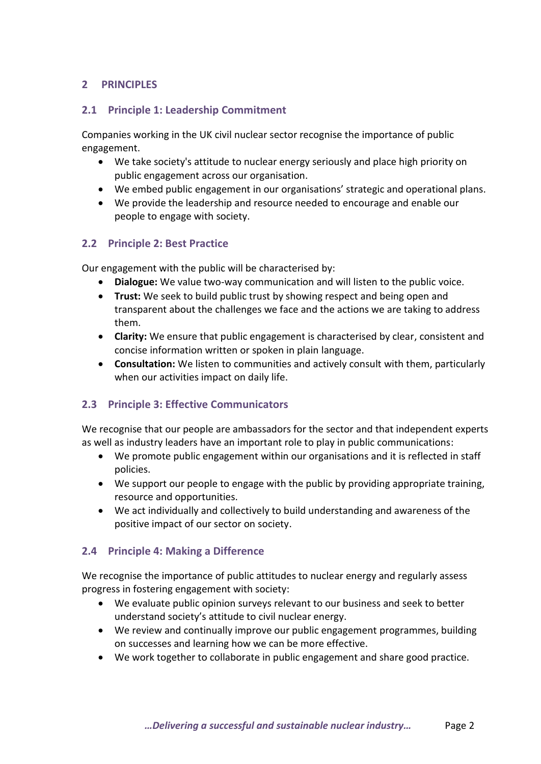# **2 PRINCIPLES**

#### **2.1 Principle 1: Leadership Commitment**

Companies working in the UK civil nuclear sector recognise the importance of public engagement.

- We take society's attitude to nuclear energy seriously and place high priority on public engagement across our organisation.
- We embed public engagement in our organisations' strategic and operational plans.
- We provide the leadership and resource needed to encourage and enable our people to engage with society.

# **2.2 Principle 2: Best Practice**

Our engagement with the public will be characterised by:

- **Dialogue:** We value two-way communication and will listen to the public voice.
- **Trust:** We seek to build public trust by showing respect and being open and transparent about the challenges we face and the actions we are taking to address them.
- **Clarity:** We ensure that public engagement is characterised by clear, consistent and concise information written or spoken in plain language.
- **Consultation:** We listen to communities and actively consult with them, particularly when our activities impact on daily life.

# **2.3 Principle 3: Effective Communicators**

We recognise that our people are ambassadors for the sector and that independent experts as well as industry leaders have an important role to play in public communications:

- We promote public engagement within our organisations and it is reflected in staff policies.
- We support our people to engage with the public by providing appropriate training, resource and opportunities.
- We act individually and collectively to build understanding and awareness of the positive impact of our sector on society.

# **2.4 Principle 4: Making a Difference**

We recognise the importance of public attitudes to nuclear energy and regularly assess progress in fostering engagement with society:

- We evaluate public opinion surveys relevant to our business and seek to better understand society's attitude to civil nuclear energy.
- We review and continually improve our public engagement programmes, building on successes and learning how we can be more effective.
- We work together to collaborate in public engagement and share good practice.